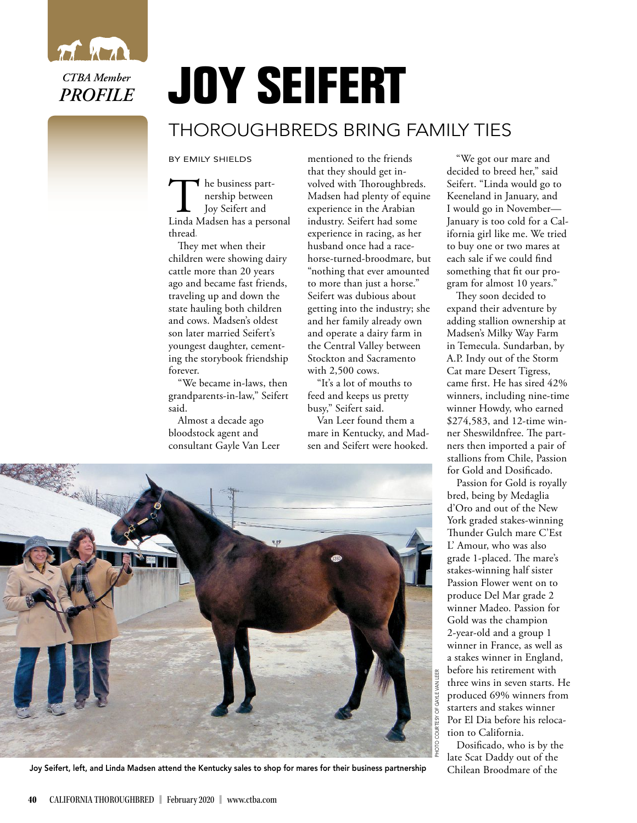

## **JOY SEIFERT**

## THOROUGHBREDS BRING FAMILY TIES

BY EMILY SHIELDS

The business part-<br>nership between<br>Linda Madsen has a personal he business partnership between Joy Seifert and thread**.** 

They met when their children were showing dairy cattle more than 20 years ago and became fast friends, traveling up and down the state hauling both children and cows. Madsen's oldest son later married Seifert's youngest daughter, cementing the storybook friendship forever.

"We became in-laws, then grandparents-in-law," Seifert said.

Almost a decade ago bloodstock agent and consultant Gayle Van Leer mentioned to the friends that they should get involved with Thoroughbreds. Madsen had plenty of equine experience in the Arabian industry. Seifert had some experience in racing, as her husband once had a racehorse-turned-broodmare, but "nothing that ever amounted to more than just a horse." Seifert was dubious about getting into the industry; she and her family already own and operate a dairy farm in the Central Valley between Stockton and Sacramento with 2,500 cows.

"It's a lot of mouths to feed and keeps us pretty busy," Seifert said.

Van Leer found them a mare in Kentucky, and Madsen and Seifert were hooked.

"We got our mare and decided to breed her," said Seifert. "Linda would go to Keeneland in January, and I would go in November— January is too cold for a California girl like me. We tried to buy one or two mares at each sale if we could find something that fit our program for almost 10 years."

They soon decided to expand their adventure by adding stallion ownership at Madsen's Milky Way Farm in Temecula. Sundarban, by A.P. Indy out of the Storm Cat mare Desert Tigress, came first. He has sired 42% winners, including nine-time winner Howdy, who earned \$274,583, and 12-time winner Sheswildnfree. The partners then imported a pair of stallions from Chile, Passion for Gold and Dosificado.

Passion for Gold is royally bred, being by Medaglia d'Oro and out of the New York graded stakes-winning Thunder Gulch mare C'Est L' Amour, who was also grade 1-placed. The mare's stakes-winning half sister Passion Flower went on to produce Del Mar grade 2 winner Madeo. Passion for Gold was the champion 2-year-old and a group 1 winner in France, as well as a stakes winner in England, before his retirement with three wins in seven starts. He produced 69% winners from starters and stakes winner Por El Dia before his relocation to California.

Dosificado, who is by the late Scat Daddy out of the